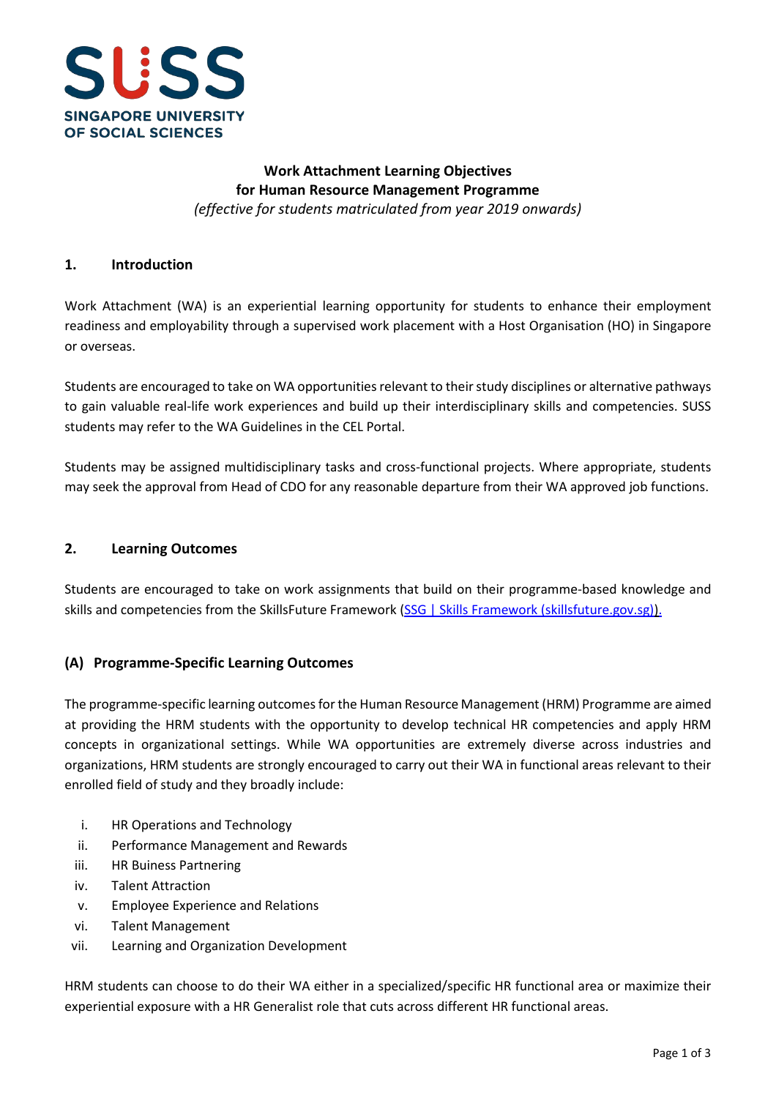

## **Work Attachment Learning Objectives for Human Resource Management Programme** *(effective for students matriculated from year 2019 onwards)*

#### **1. Introduction**

Work Attachment (WA) is an experiential learning opportunity for students to enhance their employment readiness and employability through a supervised work placement with a Host Organisation (HO) in Singapore or overseas.

Students are encouraged to take on WA opportunities relevant to their study disciplines or alternative pathways to gain valuable real-life work experiences and build up their interdisciplinary skills and competencies. SUSS students may refer to the WA Guidelines in the CEL Portal.

Students may be assigned multidisciplinary tasks and cross-functional projects. Where appropriate, students may seek the approval from Head of CDO for any reasonable departure from their WA approved job functions.

#### **2. Learning Outcomes**

Students are encouraged to take on work assignments that build on their programme-based knowledge and skills and competencies from the SkillsFuture Framework [\(SSG | Skills Framework \(skillsfuture.gov.sg\)\)](https://www.skillsfuture.gov.sg/skills-framework).

### **(A) Programme-Specific Learning Outcomes**

The programme-specific learning outcomes for the Human Resource Management (HRM) Programme are aimed at providing the HRM students with the opportunity to develop technical HR competencies and apply HRM concepts in organizational settings. While WA opportunities are extremely diverse across industries and organizations, HRM students are strongly encouraged to carry out their WA in functional areas relevant to their enrolled field of study and they broadly include:

- i. HR Operations and Technology
- ii. Performance Management and Rewards
- iii. HR Buiness Partnering
- iv. Talent Attraction
- v. Employee Experience and Relations
- vi. Talent Management
- vii. Learning and Organization Development

HRM students can choose to do their WA either in a specialized/specific HR functional area or maximize their experiential exposure with a HR Generalist role that cuts across different HR functional areas.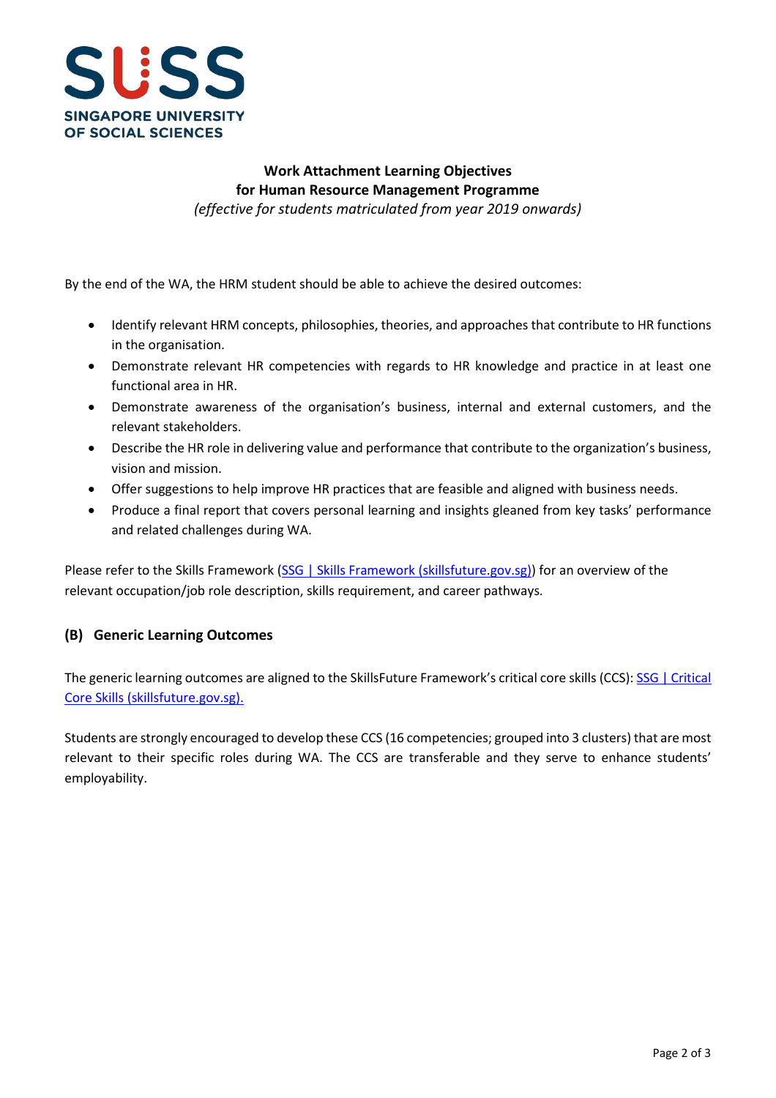

# **Work Attachment Learning Objectives for Human Resource Management Programme**

*(effective for students matriculated from year 2019 onwards)*

By the end of the WA, the HRM student should be able to achieve the desired outcomes:

- Identify relevant HRM concepts, philosophies, theories, and approaches that contribute to HR functions in the organisation.
- Demonstrate relevant HR competencies with regards to HR knowledge and practice in at least one functional area in HR.
- Demonstrate awareness of the organisation's business, internal and external customers, and the relevant stakeholders.
- Describe the HR role in delivering value and performance that contribute to the organization's business, vision and mission.
- Offer suggestions to help improve HR practices that are feasible and aligned with business needs.
- Produce a final report that covers personal learning and insights gleaned from key tasks' performance and related challenges during WA.

Please refer to the Skills Framework [\(SSG | Skills Framework \(skillsfuture.gov.sg\)\)](https://www.skillsfuture.gov.sg/skills-framework) for an overview of the relevant occupation/job role description, skills requirement, and career pathways.

### **(B) Generic Learning Outcomes**

The generic learning outcomes are aligned to the SkillsFuture Framework's critical core skills (CCS): SSG | Critical [Core Skills \(skillsfuture.gov.sg\).](https://www.skillsfuture.gov.sg/skills-framework/criticalcoreskills)

Students are strongly encouraged to develop these CCS (16 competencies; grouped into 3 clusters) that are most relevant to their specific roles during WA. The CCS are transferable and they serve to enhance students' employability.